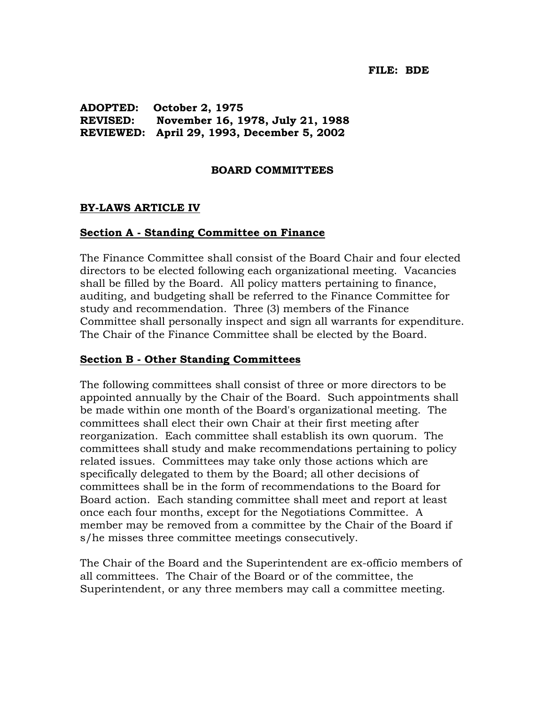**ADOPTED: October 2, 1975 REVISED: November 16, 1978, July 21, 1988 REVIEWED: April 29, 1993, December 5, 2002** 

### **BOARD COMMITTEES**

## **BY-LAWS ARTICLE IV**

### **Section A - Standing Committee on Finance**

The Finance Committee shall consist of the Board Chair and four elected directors to be elected following each organizational meeting. Vacancies shall be filled by the Board. All policy matters pertaining to finance, auditing, and budgeting shall be referred to the Finance Committee for study and recommendation. Three (3) members of the Finance Committee shall personally inspect and sign all warrants for expenditure. The Chair of the Finance Committee shall be elected by the Board.

### **Section B - Other Standing Committees**

The following committees shall consist of three or more directors to be appointed annually by the Chair of the Board. Such appointments shall be made within one month of the Board's organizational meeting. The committees shall elect their own Chair at their first meeting after reorganization. Each committee shall establish its own quorum. The committees shall study and make recommendations pertaining to policy related issues. Committees may take only those actions which are specifically delegated to them by the Board; all other decisions of committees shall be in the form of recommendations to the Board for Board action. Each standing committee shall meet and report at least once each four months, except for the Negotiations Committee. A member may be removed from a committee by the Chair of the Board if s/he misses three committee meetings consecutively.

The Chair of the Board and the Superintendent are ex-officio members of all committees. The Chair of the Board or of the committee, the Superintendent, or any three members may call a committee meeting.